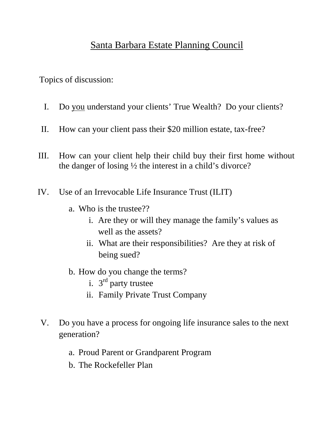### Santa Barbara Estate Planning Council

Topics of discussion:

- I. Do you understand your clients' True Wealth? Do your clients?
- II. How can your client pass their \$20 million estate, tax-free?
- III. How can your client help their child buy their first home without the danger of losing ½ the interest in a child's divorce?
- IV. Use of an Irrevocable Life Insurance Trust (ILIT)
	- a. Who is the trustee??
		- i. Are they or will they manage the family's values as well as the assets?
		- ii. What are their responsibilities? Are they at risk of being sued?
	- b. How do you change the terms?
		- i.  $3<sup>rd</sup>$  party trustee
		- ii. Family Private Trust Company
- V. Do you have a process for ongoing life insurance sales to the next generation?
	- a. Proud Parent or Grandparent Program
	- b. The Rockefeller Plan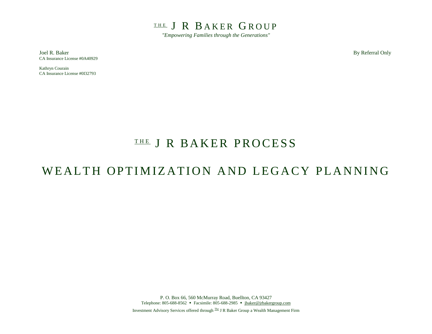THE J R BAKER GROUP

*"Empowering Families through the Generations"*

Joel R. Baker By Referral Only CA Insurance License #0A40929

Kathryn Courain CA Insurance License #0I32793

## THE J R BAKER PROCESS

## WEALTH OPTIMIZATION AND LEGACY PLANNING

P. O. Box 66, 560 McMurray Road, Buellton, CA 93427 Telephone: 805-688-8562 • Facsimile: 805-688-2985 • jbaker@jrbakergroup.com

Investment Advisory Services offered through The J R Baker Group a Wealth Management Firm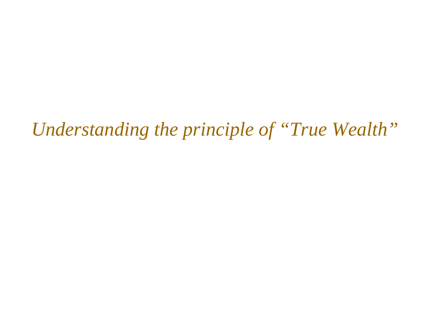*Understanding the principle of "True Wealth"*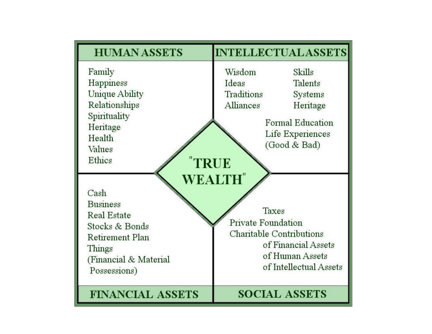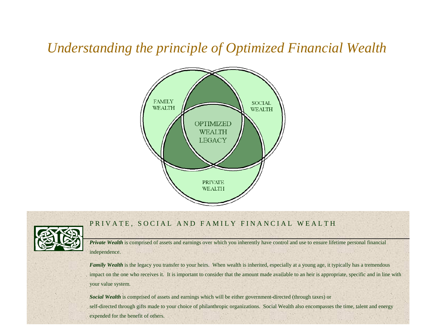# *Understanding the principle of Optimized Financial Wealth*





#### PRIVATE, SOCIAL AND FAMILY FINANCIAL WEALTH

*Private* Wealth is comprised of assets and earnings over which you inherently have control and use to ensure lifetime personal financial independence.

*Family Wealth* is the legacy you transfer to your heirs. When wealth is inherited, especially at a young age, it typically has a tremendous impact on the one who receives it. It is important to consider that the amount made available to an heir is appropriate, specific and in line with your value system.

*Social Wealth* is comprised of assets and earnings which will be either government-directed (through taxes) or self-directed through gifts made to your choice of philanthropic organizations. Social Wealth also encompasses the time, talent and energy expended for the benefit of others.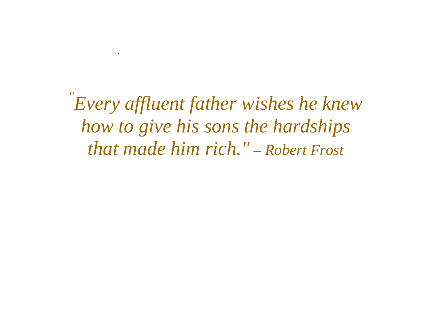*" Every affluent father wishes he knew how to give his sons the hardships that made him rich." – Robert Frost*

 $\mathcal{L}_{\text{max}}$  . The contract of  $\mathcal{L}_{\text{max}}$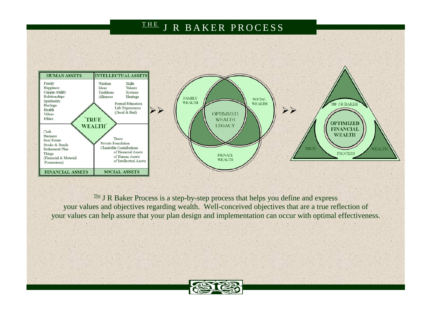### THE J R BAKER PROCESS



 $T<sup>the</sup>$  J R Baker Process is a step-by-step process that helps you define and express your values and objectives regarding wealth. Well-conceived objectives that are a true reflection of your values can help assure that your plan design and implementation can occur with optimal effectiveness.

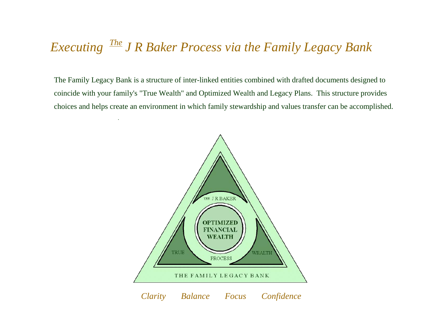# *Executing The J R Baker Process via the Family Legacy Bank*

.

The Family Legacy Bank is a structure of inter-linked entities combined with drafted documents designed to coincide with your family's "True Wealth" and Optimized Wealth and Legacy Plans. This structure provides choices and helps create an environment in which family stewardship and values transfer can be accomplished.

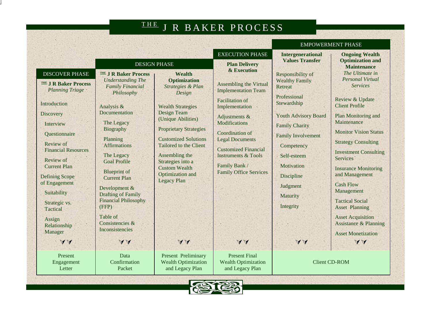# THE J R BAKER PROCESS

|                                                                                                                                                                                                                                                                                                                                                      |                                                                                                                                                                                                                                                                                                                                                                                                                           |                                                                                                                                                                                                                                                                                                                                         |                                                                                                                                                                                                                                                                                                                  | <b>EMPOWERMENT PHASE</b>                                                                                                                                                                                                                                                |                                                                                                                                                                                                                                                                                                                                                                                                                                                                                                     |  |
|------------------------------------------------------------------------------------------------------------------------------------------------------------------------------------------------------------------------------------------------------------------------------------------------------------------------------------------------------|---------------------------------------------------------------------------------------------------------------------------------------------------------------------------------------------------------------------------------------------------------------------------------------------------------------------------------------------------------------------------------------------------------------------------|-----------------------------------------------------------------------------------------------------------------------------------------------------------------------------------------------------------------------------------------------------------------------------------------------------------------------------------------|------------------------------------------------------------------------------------------------------------------------------------------------------------------------------------------------------------------------------------------------------------------------------------------------------------------|-------------------------------------------------------------------------------------------------------------------------------------------------------------------------------------------------------------------------------------------------------------------------|-----------------------------------------------------------------------------------------------------------------------------------------------------------------------------------------------------------------------------------------------------------------------------------------------------------------------------------------------------------------------------------------------------------------------------------------------------------------------------------------------------|--|
|                                                                                                                                                                                                                                                                                                                                                      | <b>DESIGN PHASE</b>                                                                                                                                                                                                                                                                                                                                                                                                       |                                                                                                                                                                                                                                                                                                                                         | <b>EXECUTION PHASE</b><br><b>Plan Delivery</b><br>& Execution                                                                                                                                                                                                                                                    | <b>Intergenerational</b><br><b>Values Transfer</b>                                                                                                                                                                                                                      | <b>Ongoing Wealth</b><br><b>Optimization and</b><br><b>Maintenance</b>                                                                                                                                                                                                                                                                                                                                                                                                                              |  |
| <b>DISCOVER PHASE</b><br><b>THE J R Baker Process</b><br><b>Planning Triage</b><br>Introduction<br>Discovery<br>Interview<br>Questionnaire<br>Review of<br><b>Financial Resources</b><br>Review of<br><b>Current Plan</b><br><b>Defining Scope</b><br>of Engagement<br>Suitability<br>Strategic vs.<br>Tactical<br>Assign<br>Relationship<br>Manager | <b>THE J R Baker Process</b><br><b>Understanding The</b><br><b>Family Financial</b><br>Philosophy<br>Analysis &<br>Documentation<br>The Legacy<br>Biography<br>Planning<br><b>Affirmations</b><br>The Legacy<br><b>Goal Profile</b><br><b>Blueprint</b> of<br><b>Current Plan</b><br>Development &<br><b>Drafting of Family</b><br><b>Financial Philosophy</b><br>(FFP)<br>Table of<br>Consistencies &<br>Inconsistencies | Wealth<br><b>Optimization</b><br>Strategies & Plan<br>Design<br><b>Wealth Strategies</b><br><b>Design Team</b><br>(Unique Abilities)<br><b>Proprietary Strategies</b><br><b>Customized Solutions</b><br>Tailored to the Client<br>Assembling the<br>Strategies into a<br><b>Custom Wealth</b><br>Optimization and<br><b>Legacy Plan</b> | <b>Assembling the Virtual</b><br><b>Implementation Team</b><br><b>Facilitation</b> of<br>Implementation<br>Adjustments &<br><b>Modifications</b><br>Coordination of<br><b>Legal Documents</b><br><b>Customized Financial</b><br><b>Instruments &amp; Tools</b><br>Family Bank /<br><b>Family Office Services</b> | Responsibility of<br><b>Wealthy Family</b><br>Retreat<br>Professional<br>Stewardship<br><b>Youth Advisory Board</b><br><b>Family Charity</b><br><b>Family Involvement</b><br>Competency<br>Self-esteem<br>Motivation<br>Discipline<br>Judgment<br>Maturity<br>Integrity | The Ultimate in<br><b>Personal Virtual</b><br><b>Services</b><br>Review & Update<br><b>Client Profile</b><br>Plan Monitoring and<br>Maintenance<br><b>Monitor Vision Status</b><br><b>Strategy Consulting</b><br><b>Investment Consulting</b><br><b>Services</b><br><b>Insurance Monitoring</b><br>and Management<br><b>Cash Flow</b><br>Management<br><b>Tactical Social</b><br><b>Asset Planning</b><br><b>Asset Acquisition</b><br><b>Assistance &amp; Planning</b><br><b>Asset Monetization</b> |  |
| VV                                                                                                                                                                                                                                                                                                                                                   | VV                                                                                                                                                                                                                                                                                                                                                                                                                        | VV                                                                                                                                                                                                                                                                                                                                      | VV                                                                                                                                                                                                                                                                                                               | VV                                                                                                                                                                                                                                                                      | VV                                                                                                                                                                                                                                                                                                                                                                                                                                                                                                  |  |
| Present<br>Engagement<br>Letter                                                                                                                                                                                                                                                                                                                      | Data<br>Confirmation<br>Packet                                                                                                                                                                                                                                                                                                                                                                                            | Present Preliminary<br><b>Wealth Optimization</b><br>and Legacy Plan                                                                                                                                                                                                                                                                    | <b>Present Final</b><br><b>Wealth Optimization</b><br>and Legacy Plan                                                                                                                                                                                                                                            | <b>Client CD-ROM</b>                                                                                                                                                                                                                                                    |                                                                                                                                                                                                                                                                                                                                                                                                                                                                                                     |  |

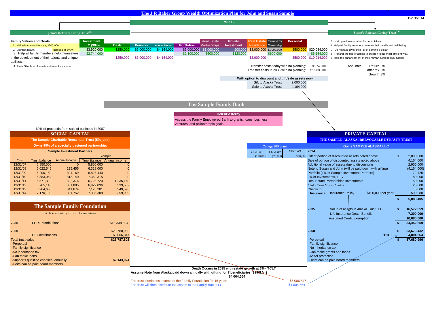

-No inheritance tax can make grants and loans of the can make grants and loans of the can make grants and loans of the can make grants and loans of the can make grants and loans of the can make grants and loans of the can

 -Can make loans -Asset protection -Supports qualified charities, annually **\$2,143,024 52,143,024 -**Heirs can be paid board members

> **Death Occurs in 2035 with estate growth at 3% - TCLT Assume Note from Alaska paid down annually with gifting for 7 beneficiaries (\$196k/yr) \$4,004,564** The trust distributes income to the Family Foundation for 15 years \$6,006,847<br>The trust will then distribute the assets to the Family Bank LLC.

The trust will then distribute the assets to the Family Bank LLC

-Heirs can be paid board members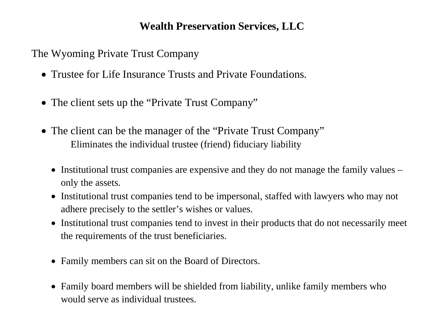### **Wealth Preservation Services, LLC**

The Wyoming Private Trust Company

- Trustee for Life Insurance Trusts and Private Foundations.
- The client sets up the "Private Trust Company"
- The client can be the manager of the "Private Trust Company" Eliminates the individual trustee (friend) fiduciary liability
	- Institutional trust companies are expensive and they do not manage the family values only the assets.
	- Institutional trust companies tend to be impersonal, staffed with lawyers who may not adhere precisely to the settler's wishes or values.
	- Institutional trust companies tend to invest in their products that do not necessarily meet the requirements of the trust beneficiaries.
	- Family members can sit on the Board of Directors.
	- Family board members will be shielded from liability, unlike family members who would serve as individual trustees.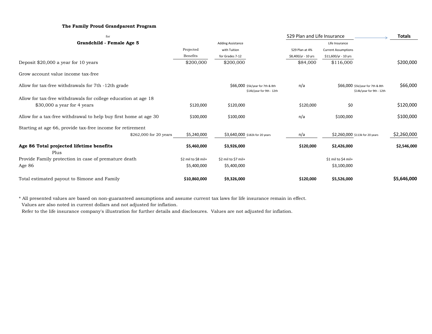#### **The Family Proud Grandparent Program**

| for                                                              |                          |                                                               | 529 Plan and Life Insurance |                                                               | <b>Totals</b> |
|------------------------------------------------------------------|--------------------------|---------------------------------------------------------------|-----------------------------|---------------------------------------------------------------|---------------|
| Grandchild - Female Age 5                                        | <b>Adding Assistance</b> |                                                               | Life Insurance              |                                                               |               |
|                                                                  | Projected                | with Tuition                                                  | 529 Plan at 4%              | <b>Current Assumptions</b>                                    |               |
|                                                                  | Benefits                 | for Grades 7-12                                               | \$8,400/yr - 10 yrs         | \$11,600/yr - 10 yrs                                          |               |
| Deposit \$20,000 a year for 10 years                             | \$200,000                | \$200,000                                                     | \$84,000                    | \$116,000                                                     | \$200,000     |
| Grow account value income tax-free                               |                          |                                                               |                             |                                                               |               |
| Allow for tax-free withdrawals for 7th -12th grade               |                          | \$66,000 \$5k/year for 7th & 8th<br>\$14k/year for 9th - 12th | n/a                         | \$66,000 \$5k/year for 7th & 8th<br>\$14k/year for 9th - 12th | \$66,000      |
| Allow for tax-free withdrawals for college education at age 18   |                          |                                                               |                             |                                                               |               |
| $$30,000$ a year for 4 years                                     | \$120,000                | \$120,000                                                     | \$120,000                   | \$0                                                           | \$120,000     |
| Allow for a tax-free withdrawal to help buy first home at age 30 | \$100,000                | \$100,000                                                     | n/a                         | \$100,000                                                     | \$100,000     |
| Starting at age 66, provide tax-free income for retirement       |                          |                                                               |                             |                                                               |               |
| \$262,000 for 20 years                                           | \$5,240,000              | \$3,640,000 \$182k for 20 years                               | n/a                         | \$2,260,000 \$113k for 20 years                               | \$2,260,000   |
| Age 86 Total projected lifetime benefits                         | \$5,460,000              | \$3,926,000                                                   | \$120,000                   | \$2,426,000                                                   | \$2,546,000   |
| Plus                                                             |                          |                                                               |                             |                                                               |               |
| Provide Family protection in case of premature death             | \$2 mil to \$8 mil+      | \$2 mil to \$7 mil+                                           |                             | \$1 mil to \$4 mil+                                           |               |
| Age 86                                                           | \$5,400,000              | \$5,400,000                                                   |                             | \$3,100,000                                                   |               |
| Total estimated payout to Simone and Family                      | \$10,860,000             | \$9,326,000                                                   | \$120,000                   | \$5,526,000                                                   | \$5,646,000   |

\* All presented values are based on non-guaranteed assumptions and assume current tax laws for life insurance remain in effect.

Values are also noted in current dollars and not adjusted for inflation.

Refer to the life insurance company's illustration for further details and disclosures. Values are not adjusted for inflation.